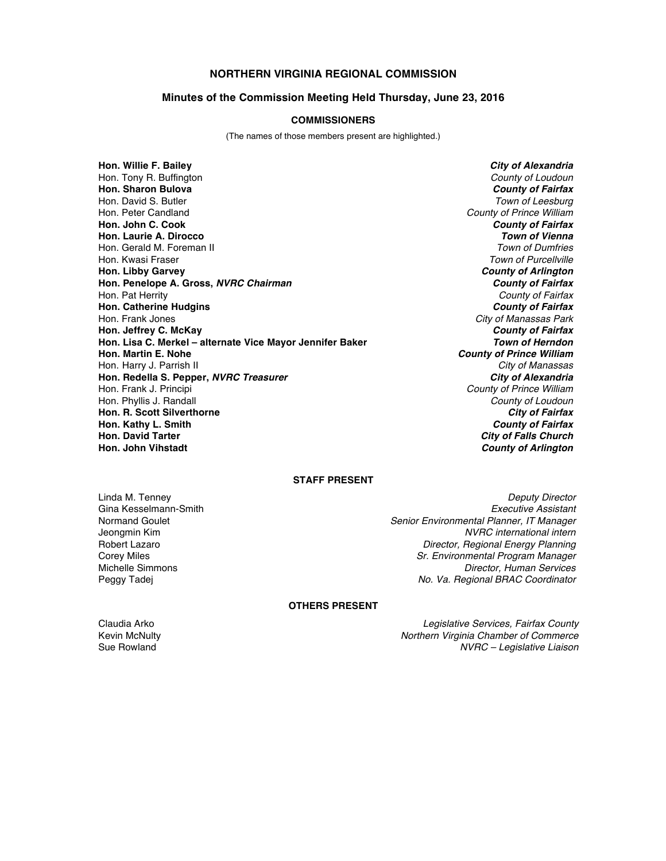# **NORTHERN VIRGINIA REGIONAL COMMISSION**

## **Minutes of the Commission Meeting Held Thursday, June 23, 2016**

### **COMMISSIONERS**

(The names of those members present are highlighted.)

**Hon. Willie F. Bailey** *City of Alexandria* Hon. Tony R. Buffington *County of Loudoun* **Hon. Sharon Bulova** *County of Fairfax* Hon. David S. Butler *Town of Leesburg* Hon. Peter Candland *County of Prince William* **Hon. John C. Cook** *County of Fairfax* **Hon. Laurie A. Dirocco** *Town of Vienna* Hon. Gerald M. Foreman II Hon. Kwasi Fraser *Town of Purcellville* **Hon. Libby Garvey** *County of Arlington* **Hon. Penelope A. Gross,** *NVRC Chairman County of Fairfax* Hon. Pat Herrity *County of Fairfax* **Hon. Catherine Hudgins** *County of Fairfax* Hon. Frank Jones *City of Manassas Park* **Hon. Jeffrey C. McKay** *County of Fairfax* **Hon. Lisa C. Merkel – alternate Vice Mayor Jennifer Baker** *Hon. Martin E. Nohe* Hon. Harry J. Parrish II *City of Manassas* **Hon. Redella S. Pepper,** *NVRC Treasurer* Hon. Frank J. Principi *County of Prince William* Hon. Phyllis J. Randall *County of Loudoun* **Hon. R. Scott Silverthorne** *City of Fairfax* **Hon. Kathy L. Smith** *County of Fairfax* **Hon. David Tarter** *City of Falls Church*

**County of Prince William**<br>City of Manassas **County of Arlington** 

## **STAFF PRESENT**

Linda M. Tenney *Deputy Director* Gina Kesselmann-Smith *Executive Assistant* Normand Goulet *Senior Environmental Planner, IT Manager* Jeongmin Kim *NVRC international intern* **Director, Regional Energy Planning** Corey Miles *Sr. Environmental Program Manager* Michelle Simmons *Director, Human Services* Peggy Tadej *No. Va. Regional BRAC Coordinator*

#### **OTHERS PRESENT**

Claudia Arko *Legislative Services, Fairfax County* Kevin McNulty *Northern Virginia Chamber of Commerce* Sue Rowland *NVRC – Legislative Liaison*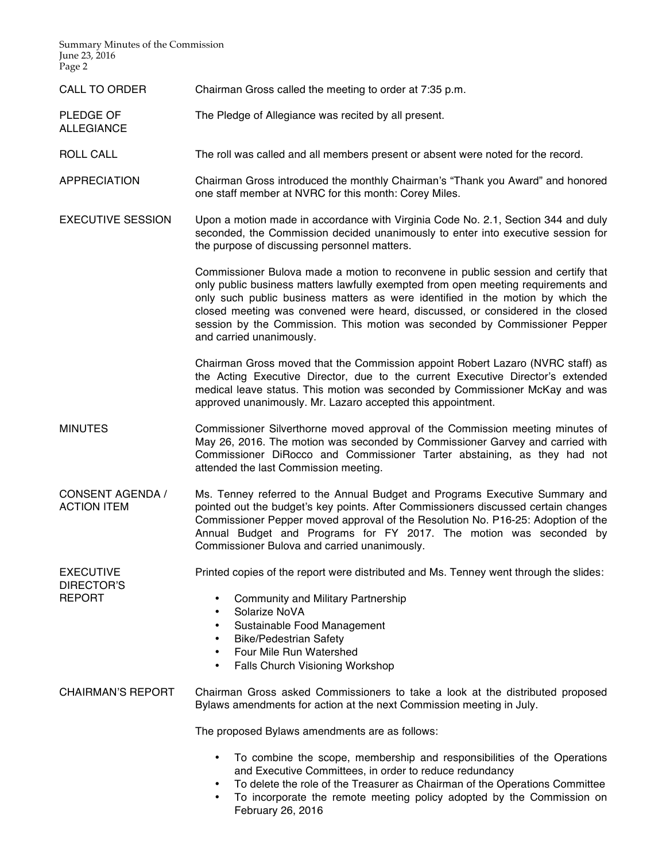Summary Minutes of the Commission June 23, 2016 Page 2

ALLEGIANCE

CALL TO ORDER Chairman Gross called the meeting to order at 7:35 p.m.

PLEDGE OF The Pledge of Allegiance was recited by all present.

ROLL CALL The roll was called and all members present or absent were noted for the record.

APPRECIATION Chairman Gross introduced the monthly Chairman's "Thank you Award" and honored one staff member at NVRC for this month: Corey Miles.

EXECUTIVE SESSION Upon a motion made in accordance with Virginia Code No. 2.1, Section 344 and duly seconded, the Commission decided unanimously to enter into executive session for the purpose of discussing personnel matters.

> Commissioner Bulova made a motion to reconvene in public session and certify that only public business matters lawfully exempted from open meeting requirements and only such public business matters as were identified in the motion by which the closed meeting was convened were heard, discussed, or considered in the closed session by the Commission. This motion was seconded by Commissioner Pepper and carried unanimously.

> Chairman Gross moved that the Commission appoint Robert Lazaro (NVRC staff) as the Acting Executive Director, due to the current Executive Director's extended medical leave status. This motion was seconded by Commissioner McKay and was approved unanimously. Mr. Lazaro accepted this appointment.

MINUTES Commissioner Silverthorne moved approval of the Commission meeting minutes of May 26, 2016. The motion was seconded by Commissioner Garvey and carried with Commissioner DiRocco and Commissioner Tarter abstaining, as they had not attended the last Commission meeting.

CONSENT AGENDA / ACTION ITEM Ms. Tenney referred to the Annual Budget and Programs Executive Summary and pointed out the budget's key points. After Commissioners discussed certain changes Commissioner Pepper moved approval of the Resolution No. P16-25: Adoption of the Annual Budget and Programs for FY 2017. The motion was seconded by Commissioner Bulova and carried unanimously.

EXECUTIVE Printed copies of the report were distributed and Ms. Tenney went through the slides:

DIRECTOR'S REPORT

- Community and Military Partnership
- Solarize NoVA
- Sustainable Food Management
- Bike/Pedestrian Safety
- Four Mile Run Watershed
- Falls Church Visioning Workshop

CHAIRMAN'S REPORT Chairman Gross asked Commissioners to take a look at the distributed proposed Bylaws amendments for action at the next Commission meeting in July.

The proposed Bylaws amendments are as follows:

- To combine the scope, membership and responsibilities of the Operations and Executive Committees, in order to reduce redundancy
- To delete the role of the Treasurer as Chairman of the Operations Committee
- To incorporate the remote meeting policy adopted by the Commission on February 26, 2016